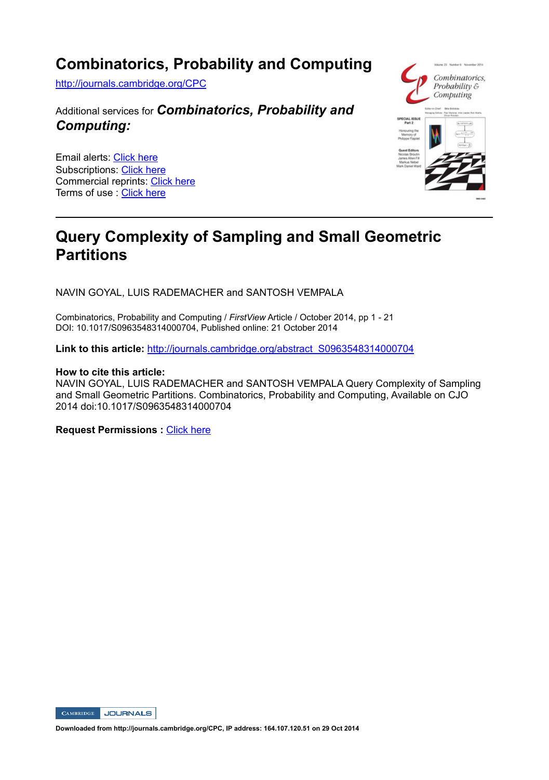# **Combinatorics, Probability and Computing**

http://journals.cambridge.org/CPC

# Additional services for *Combinatorics, Probability and Computing:*

Email alerts: Click here Subscriptions: Click here Commercial reprints: Click here Terms of use : Click here



# **Query Complexity of Sampling and Small Geometric Partitions**

NAVIN GOYAL, LUIS RADEMACHER and SANTOSH VEMPALA

Combinatorics, Probability and Computing / *FirstView* Article / October 2014, pp 1 - 21 DOI: 10.1017/S0963548314000704, Published online: 21 October 2014

**Link to this article:** http://journals.cambridge.org/abstract\_S0963548314000704

# **How to cite this article:**

NAVIN GOYAL, LUIS RADEMACHER and SANTOSH VEMPALA Query Complexity of Sampling and Small Geometric Partitions. Combinatorics, Probability and Computing, Available on CJO 2014 doi:10.1017/S0963548314000704

**Request Permissions :** Click here



**Downloaded from http://journals.cambridge.org/CPC, IP address: 164.107.120.51 on 29 Oct 2014**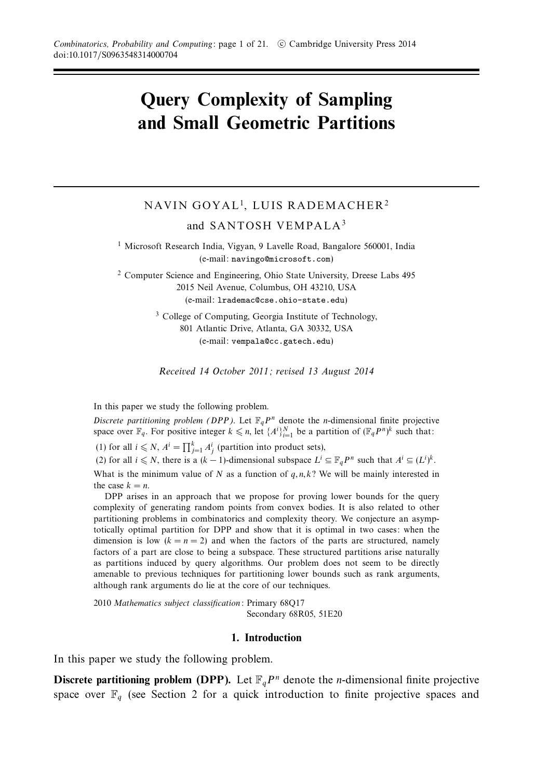# **Query Complexity of Sampling and Small Geometric Partitions**

# NAVIN GOYAL1, LUIS RADEMACHER2 and SANTOSH VEMPALA<sup>3</sup>

<sup>1</sup> Microsoft Research India, Vigyan, 9 Lavelle Road, Bangalore 560001, India (e-mail: navingo@microsoft.com)

<sup>2</sup> Computer Science and Engineering, Ohio State University, Dreese Labs 495 2015 Neil Avenue, Columbus, OH 43210, USA (e-mail: lrademac@cse.ohio-state.edu)

> <sup>3</sup> College of Computing, Georgia Institute of Technology, 801 Atlantic Drive, Atlanta, GA 30332, USA (e-mail: vempala@cc.gatech.edu)

Received 14 October 2011; revised 13 August 2014

In this paper we study the following problem.

Discrete partitioning problem (DPP). Let  $\mathbb{F}_qP^n$  denote the *n*-dimensional finite projective space over  $\mathbb{F}_q$ . For positive integer  $k \le n$ , let  $\{A^i\}_{i=1}^N$  be a partition of  $(\mathbb{F}_qP^n)^k$  such that:

(1) for all  $i \le N$ ,  $A^i = \prod_{j=1}^k A^i_j$  (partition into product sets),

(2) for all  $i \leq N$ , there is a  $(k-1)$ -dimensional subspace  $L^i \subseteq \mathbb{F}_q P^n$  such that  $A^i \subseteq (L^i)^k$ . What is the minimum value of *N* as a function of *q, n, k*? We will be mainly interested in the case  $k = n$ .

DPP arises in an approach that we propose for proving lower bounds for the query complexity of generating random points from convex bodies. It is also related to other partitioning problems in combinatorics and complexity theory. We conjecture an asymptotically optimal partition for DPP and show that it is optimal in two cases: when the dimension is low  $(k = n = 2)$  and when the factors of the parts are structured, namely factors of a part are close to being a subspace. These structured partitions arise naturally as partitions induced by query algorithms. Our problem does not seem to be directly amenable to previous techniques for partitioning lower bounds such as rank arguments, although rank arguments do lie at the core of our techniques.

2010 Mathematics subject classification: Primary 68Q17 Secondary 68R05, 51E20

## **1. Introduction**

In this paper we study the following problem.

**Discrete partitioning problem (DPP).** Let  $\mathbb{F}_qP^n$  denote the *n*-dimensional finite projective space over  $\mathbb{F}_q$  (see Section 2 for a quick introduction to finite projective spaces and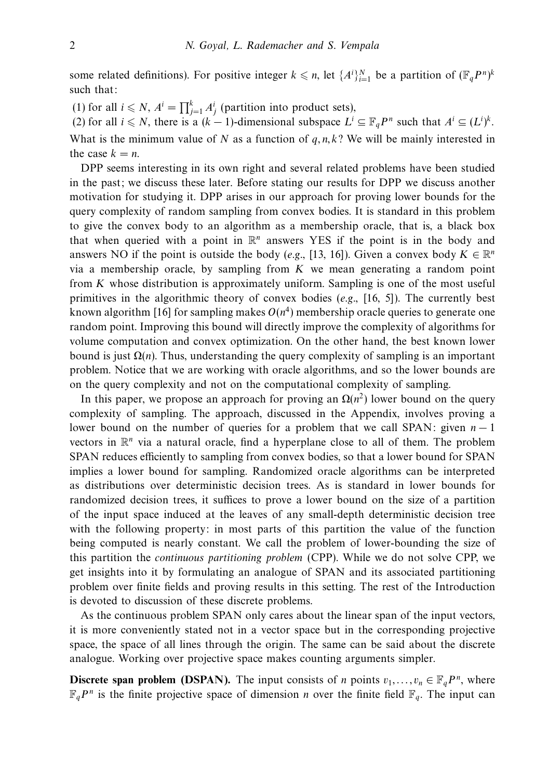some related definitions). For positive integer  $k \le n$ , let  $\{A^i\}_{i=1}^N$  be a partition of  $(\mathbb{F}_q P^n)^k$ such that:

(1) for all  $i \le N$ ,  $A^i = \prod_{j=1}^k A^i_j$  (partition into product sets),

(2) for all  $i \le N$ , there is a  $(k-1)$ -dimensional subspace  $L^i \subseteq \mathbb{F}_q P^n$  such that  $A^i \subseteq (L^i)^k$ . What is the minimum value of *N* as a function of *q, n, k*? We will be mainly interested in the case  $k = n$ .

DPP seems interesting in its own right and several related problems have been studied in the past; we discuss these later. Before stating our results for DPP we discuss another motivation for studying it. DPP arises in our approach for proving lower bounds for the query complexity of random sampling from convex bodies. It is standard in this problem to give the convex body to an algorithm as a membership oracle, that is, a black box that when queried with a point in  $\mathbb{R}^n$  answers YES if the point is in the body and answers NO if the point is outside the body (e.g., [13, 16]). Given a convex body  $K \in \mathbb{R}^n$ via a membership oracle, by sampling from *K* we mean generating a random point from *K* whose distribution is approximately uniform. Sampling is one of the most useful primitives in the algorithmic theory of convex bodies  $(e.g., [16, 5])$ . The currently best known algorithm [16] for sampling makes  $O(n^4)$  membership oracle queries to generate one random point. Improving this bound will directly improve the complexity of algorithms for volume computation and convex optimization. On the other hand, the best known lower bound is just  $Ω(n)$ . Thus, understanding the query complexity of sampling is an important problem. Notice that we are working with oracle algorithms, and so the lower bounds are on the query complexity and not on the computational complexity of sampling.

In this paper, we propose an approach for proving an  $\Omega(n^2)$  lower bound on the query complexity of sampling. The approach, discussed in the Appendix, involves proving a lower bound on the number of queries for a problem that we call SPAN: given *n* − 1 vectors in  $\mathbb{R}^n$  via a natural oracle, find a hyperplane close to all of them. The problem SPAN reduces efficiently to sampling from convex bodies, so that a lower bound for SPAN implies a lower bound for sampling. Randomized oracle algorithms can be interpreted as distributions over deterministic decision trees. As is standard in lower bounds for randomized decision trees, it suffices to prove a lower bound on the size of a partition of the input space induced at the leaves of any small-depth deterministic decision tree with the following property: in most parts of this partition the value of the function being computed is nearly constant. We call the problem of lower-bounding the size of this partition the continuous partitioning problem (CPP). While we do not solve CPP, we get insights into it by formulating an analogue of SPAN and its associated partitioning problem over finite fields and proving results in this setting. The rest of the Introduction is devoted to discussion of these discrete problems.

As the continuous problem SPAN only cares about the linear span of the input vectors, it is more conveniently stated not in a vector space but in the corresponding projective space, the space of all lines through the origin. The same can be said about the discrete analogue. Working over projective space makes counting arguments simpler.

**Discrete span problem (DSPAN).** The input consists of *n* points  $v_1, \ldots, v_n \in \mathbb{F}_q P^n$ , where  $\mathbb{F}_qP^n$  is the finite projective space of dimension *n* over the finite field  $\mathbb{F}_q$ . The input can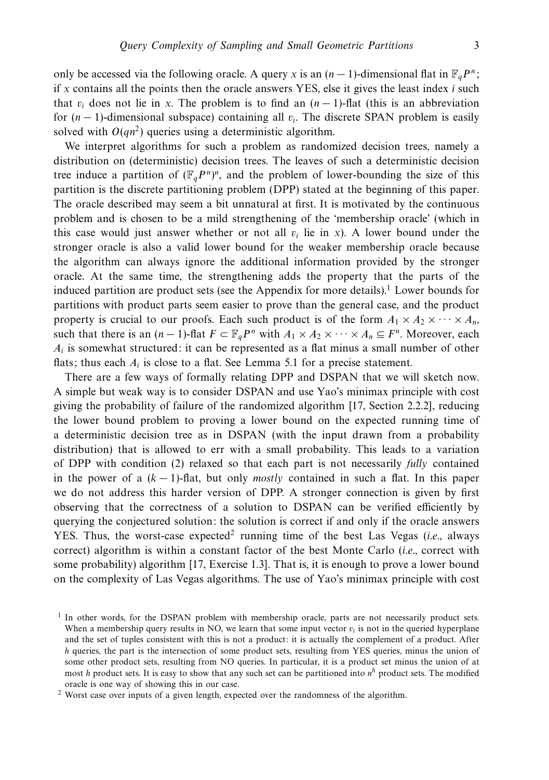only be accessed via the following oracle. A query *x* is an  $(n - 1)$ -dimensional flat in  $\mathbb{F}_{q}P^{n}$ ; if *x* contains all the points then the oracle answers YES, else it gives the least index *i* such that  $v_i$  does not lie in *x*. The problem is to find an  $(n-1)$ -flat (this is an abbreviation for (*n* − 1)-dimensional subspace) containing all *vi*. The discrete SPAN problem is easily solved with  $O(qn^2)$  queries using a deterministic algorithm.

We interpret algorithms for such a problem as randomized decision trees, namely a distribution on (deterministic) decision trees. The leaves of such a deterministic decision tree induce a partition of  $(\mathbb{F}_qP^n)^n$ , and the problem of lower-bounding the size of this partition is the discrete partitioning problem (DPP) stated at the beginning of this paper. The oracle described may seem a bit unnatural at first. It is motivated by the continuous problem and is chosen to be a mild strengthening of the 'membership oracle' (which in this case would just answer whether or not all  $v_i$  lie in  $x$ ). A lower bound under the stronger oracle is also a valid lower bound for the weaker membership oracle because the algorithm can always ignore the additional information provided by the stronger oracle. At the same time, the strengthening adds the property that the parts of the induced partition are product sets (see the Appendix for more details).<sup>1</sup> Lower bounds for partitions with product parts seem easier to prove than the general case, and the product property is crucial to our proofs. Each such product is of the form  $A_1 \times A_2 \times \cdots \times A_n$ , such that there is an  $(n-1)$ -flat  $F \subset \mathbb{F}_q P^n$  with  $A_1 \times A_2 \times \cdots \times A_n \subseteq F^n$ . Moreover, each  $A_i$  is somewhat structured: it can be represented as a flat minus a small number of other flats; thus each  $A_i$  is close to a flat. See Lemma 5.1 for a precise statement.

There are a few ways of formally relating DPP and DSPAN that we will sketch now. A simple but weak way is to consider DSPAN and use Yao's minimax principle with cost giving the probability of failure of the randomized algorithm [17, Section 2.2.2], reducing the lower bound problem to proving a lower bound on the expected running time of a deterministic decision tree as in DSPAN (with the input drawn from a probability distribution) that is allowed to err with a small probability. This leads to a variation of DPP with condition (2) relaxed so that each part is not necessarily fully contained in the power of a  $(k-1)$ -flat, but only *mostly* contained in such a flat. In this paper we do not address this harder version of DPP. A stronger connection is given by first observing that the correctness of a solution to DSPAN can be verified efficiently by querying the conjectured solution: the solution is correct if and only if the oracle answers YES. Thus, the worst-case expected<sup>2</sup> running time of the best Las Vegas *(i.e.*, always correct) algorithm is within a constant factor of the best Monte Carlo (i.e., correct with some probability) algorithm [17, Exercise 1.3]. That is, it is enough to prove a lower bound on the complexity of Las Vegas algorithms. The use of Yao's minimax principle with cost

 $<sup>1</sup>$  In other words, for the DSPAN problem with membership oracle, parts are not necessarily product sets.</sup> When a membership query results in NO, we learn that some input vector  $v_i$  is not in the queried hyperplane and the set of tuples consistent with this is not a product: it is actually the complement of a product. After *h* queries, the part is the intersection of some product sets, resulting from YES queries, minus the union of some other product sets, resulting from NO queries. In particular, it is a product set minus the union of at most *h* product sets. It is easy to show that any such set can be partitioned into *nh* product sets. The modified oracle is one way of showing this in our case.

<sup>2</sup> Worst case over inputs of a given length, expected over the randomness of the algorithm.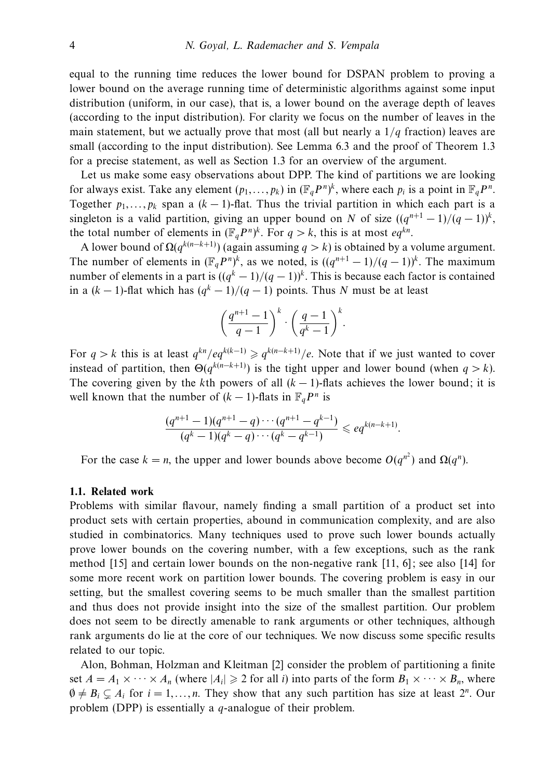equal to the running time reduces the lower bound for DSPAN problem to proving a lower bound on the average running time of deterministic algorithms against some input distribution (uniform, in our case), that is, a lower bound on the average depth of leaves (according to the input distribution). For clarity we focus on the number of leaves in the main statement, but we actually prove that most (all but nearly a 1*/q* fraction) leaves are small (according to the input distribution). See Lemma 6.3 and the proof of Theorem 1.3 for a precise statement, as well as Section 1.3 for an overview of the argument.

Let us make some easy observations about DPP. The kind of partitions we are looking for always exist. Take any element  $(p_1, \ldots, p_k)$  in  $(\mathbb{F}_q P^n)^k$ , where each  $p_i$  is a point in  $\mathbb{F}_q P^n$ . Together  $p_1, \ldots, p_k$  span a  $(k-1)$ -flat. Thus the trivial partition in which each part is a singleton is a valid partition, giving an upper bound on *N* of size  $((q^{n+1} - 1)/(q - 1))^{k}$ , the total number of elements in  $(\mathbb{F}_qP^n)^k$ . For  $q > k$ , this is at most  $eq^{kn}$ .

A lower bound of  $\Omega(q^{k(n-k+1)})$  (again assuming  $q > k$ ) is obtained by a volume argument. The number of elements in  $(\mathbb{F}_qP^n)^k$ , as we noted, is  $((q^{n+1}-1)/(q-1))^k$ . The maximum number of elements in a part is  $((q<sup>k</sup> - 1)/(q - 1))<sup>k</sup>$ . This is because each factor is contained in a (*k* − 1)-flat which has (*q<sup>k</sup>* − 1)*/*(*q* − 1) points. Thus *N* must be at least

$$
\left(\frac{q^{n+1}-1}{q-1}\right)^k \cdot \left(\frac{q-1}{q^k-1}\right)^k.
$$

For  $q > k$  this is at least  $q^{kn}/eq^{k(k-1)} \geq q^{k(n-k+1)}/e$ . Note that if we just wanted to cover instead of partition, then  $\Theta(q^{k(n-k+1)})$  is the tight upper and lower bound (when  $q > k$ ). The covering given by the  $k$ <sup>th</sup> powers of all  $(k - 1)$ -flats achieves the lower bound; it is well known that the number of  $(k-1)$ -flats in  $\mathbb{F}_{q}P^{n}$  is

$$
\frac{(q^{n+1}-1)(q^{n+1}-q)\cdots(q^{n+1}-q^{k-1})}{(q^k-1)(q^k-q)\cdots(q^k-q^{k-1})} \leqslant eq^{k(n-k+1)}.
$$

For the case  $k = n$ , the upper and lower bounds above become  $O(q^{n^2})$  and  $\Omega(q^n)$ .

## **1.1. Related work**

Problems with similar flavour, namely finding a small partition of a product set into product sets with certain properties, abound in communication complexity, and are also studied in combinatorics. Many techniques used to prove such lower bounds actually prove lower bounds on the covering number, with a few exceptions, such as the rank method [15] and certain lower bounds on the non-negative rank [11, 6]; see also [14] for some more recent work on partition lower bounds. The covering problem is easy in our setting, but the smallest covering seems to be much smaller than the smallest partition and thus does not provide insight into the size of the smallest partition. Our problem does not seem to be directly amenable to rank arguments or other techniques, although rank arguments do lie at the core of our techniques. We now discuss some specific results related to our topic.

Alon, Bohman, Holzman and Kleitman [2] consider the problem of partitioning a finite set  $A = A_1 \times \cdots \times A_n$  (where  $|A_i| \geq 2$  for all *i*) into parts of the form  $B_1 \times \cdots \times B_n$ , where  $\emptyset \neq B_i \subsetneq A_i$  for  $i = 1, ..., n$ . They show that any such partition has size at least  $2^n$ . Our problem (DPP) is essentially a *q*-analogue of their problem.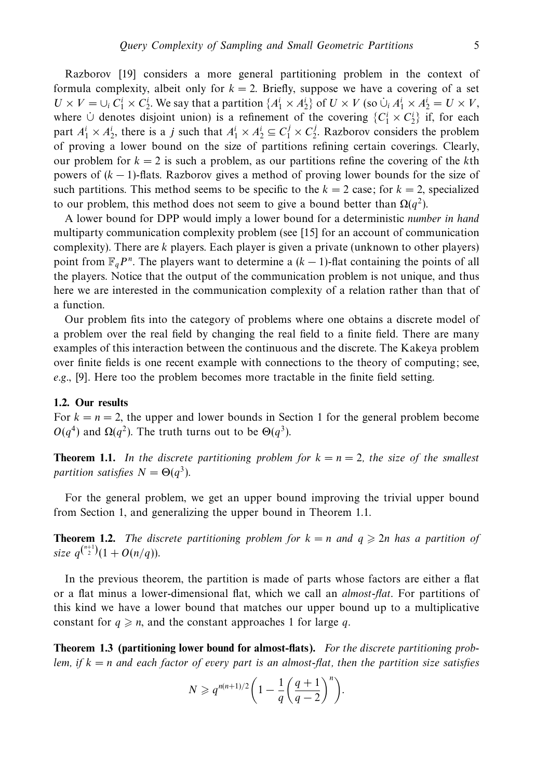Razborov [19] considers a more general partitioning problem in the context of formula complexity, albeit only for  $k = 2$ . Briefly, suppose we have a covering of a set  $U \times V = \bigcup_i C_1^i \times C_2^i$ . We say that a partition  $\{A_1^i \times A_2^i\}$  of  $U \times V$  (so  $\bigcup_i A_1^i \times A_2^i = U \times V$ , where  $\cup$  denotes disjoint union) is a refinement of the covering  $\{C_1^i \times C_2^i\}$  if, for each part  $A_1^i \times A_2^i$ , there is a *j* such that  $A_1^i \times A_2^i \subseteq C_1^j \times C_2^j$ . Razborov considers the problem of proving a lower bound on the size of partitions refining certain coverings. Clearly, our problem for  $k = 2$  is such a problem, as our partitions refine the covering of the  $k$ th powers of (*k* − 1)-flats. Razborov gives a method of proving lower bounds for the size of such partitions. This method seems to be specific to the  $k = 2$  case; for  $k = 2$ , specialized to our problem, this method does not seem to give a bound better than  $\Omega(q^2)$ .

A lower bound for DPP would imply a lower bound for a deterministic number in hand multiparty communication complexity problem (see [15] for an account of communication complexity). There are *k* players. Each player is given a private (unknown to other players) point from  $\mathbb{F}_qP^n$ . The players want to determine a  $(k-1)$ -flat containing the points of all the players. Notice that the output of the communication problem is not unique, and thus here we are interested in the communication complexity of a relation rather than that of a function.

Our problem fits into the category of problems where one obtains a discrete model of a problem over the real field by changing the real field to a finite field. There are many examples of this interaction between the continuous and the discrete. The Kakeya problem over finite fields is one recent example with connections to the theory of computing; see, e.g., [9]. Here too the problem becomes more tractable in the finite field setting.

## **1.2. Our results**

For  $k = n = 2$ , the upper and lower bounds in Section 1 for the general problem become *O*(*q*<sup>4</sup>) and Ω(*q*<sup>2</sup>). The truth turns out to be  $Θ(q^3)$ .

**Theorem 1.1.** In the discrete partitioning problem for  $k = n = 2$ , the size of the smallest partition satisfies  $N = \Theta(q^3)$ .

For the general problem, we get an upper bound improving the trivial upper bound from Section 1, and generalizing the upper bound in Theorem 1.1.

**Theorem 1.2.** The discrete partitioning problem for  $k = n$  and  $q \ge 2n$  has a partition of size  $q^{n+1 \choose 2} (1 + O(n/q)).$ 

In the previous theorem, the partition is made of parts whose factors are either a flat or a flat minus a lower-dimensional flat, which we call an almost-flat. For partitions of this kind we have a lower bound that matches our upper bound up to a multiplicative constant for  $q \ge n$ , and the constant approaches 1 for large q.

**Theorem 1.3 (partitioning lower bound for almost-flats).** For the discrete partitioning problem, if  $k = n$  and each factor of every part is an almost-flat, then the partition size satisfies

$$
N \geqslant q^{n(n+1)/2} \bigg(1 - \frac{1}{q} \bigg(\frac{q+1}{q-2}\bigg)^n\bigg).
$$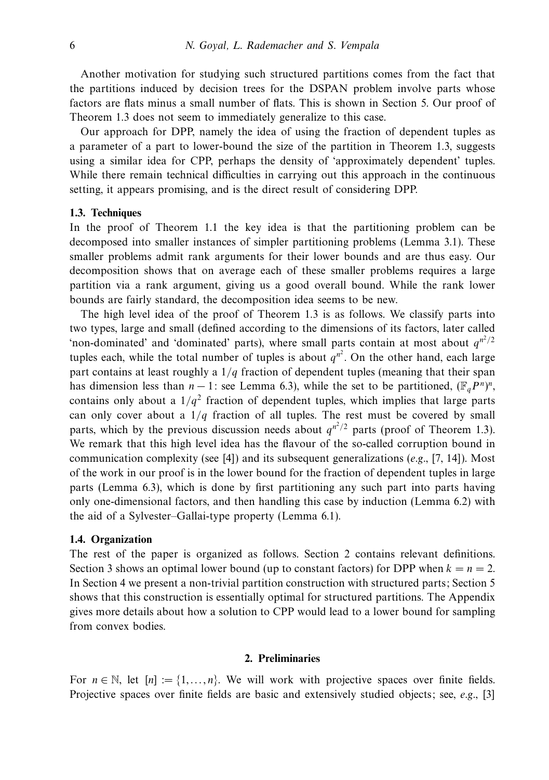Another motivation for studying such structured partitions comes from the fact that the partitions induced by decision trees for the DSPAN problem involve parts whose factors are flats minus a small number of flats. This is shown in Section 5. Our proof of Theorem 1.3 does not seem to immediately generalize to this case.

Our approach for DPP, namely the idea of using the fraction of dependent tuples as a parameter of a part to lower-bound the size of the partition in Theorem 1.3, suggests using a similar idea for CPP, perhaps the density of 'approximately dependent' tuples. While there remain technical difficulties in carrying out this approach in the continuous setting, it appears promising, and is the direct result of considering DPP.

# **1.3. Techniques**

In the proof of Theorem 1.1 the key idea is that the partitioning problem can be decomposed into smaller instances of simpler partitioning problems (Lemma 3.1). These smaller problems admit rank arguments for their lower bounds and are thus easy. Our decomposition shows that on average each of these smaller problems requires a large partition via a rank argument, giving us a good overall bound. While the rank lower bounds are fairly standard, the decomposition idea seems to be new.

The high level idea of the proof of Theorem 1.3 is as follows. We classify parts into two types, large and small (defined according to the dimensions of its factors, later called 'non-dominated' and 'dominated' parts), where small parts contain at most about  $q^{n^2/2}$ tuples each, while the total number of tuples is about  $q^{n^2}$ . On the other hand, each large part contains at least roughly a 1*/q* fraction of dependent tuples (meaning that their span has dimension less than  $n-1$ : see Lemma 6.3), while the set to be partitioned,  $(\mathbb{F}_qP^n)^n$ , contains only about a  $1/q^2$  fraction of dependent tuples, which implies that large parts can only cover about a  $1/q$  fraction of all tuples. The rest must be covered by small parts, which by the previous discussion needs about  $q^{n^2/2}$  parts (proof of Theorem 1.3). We remark that this high level idea has the flavour of the so-called corruption bound in communication complexity (see [4]) and its subsequent generalizations (e.g., [7, 14]). Most of the work in our proof is in the lower bound for the fraction of dependent tuples in large parts (Lemma 6.3), which is done by first partitioning any such part into parts having only one-dimensional factors, and then handling this case by induction (Lemma 6.2) with the aid of a Sylvester–Gallai-type property (Lemma 6.1).

#### **1.4. Organization**

The rest of the paper is organized as follows. Section 2 contains relevant definitions. Section 3 shows an optimal lower bound (up to constant factors) for DPP when  $k = n = 2$ . In Section 4 we present a non-trivial partition construction with structured parts; Section 5 shows that this construction is essentially optimal for structured partitions. The Appendix gives more details about how a solution to CPP would lead to a lower bound for sampling from convex bodies.

#### **2. Preliminaries**

For  $n \in \mathbb{N}$ , let  $[n] := \{1, \ldots, n\}$ . We will work with projective spaces over finite fields. Projective spaces over finite fields are basic and extensively studied objects; see, e.g., [3]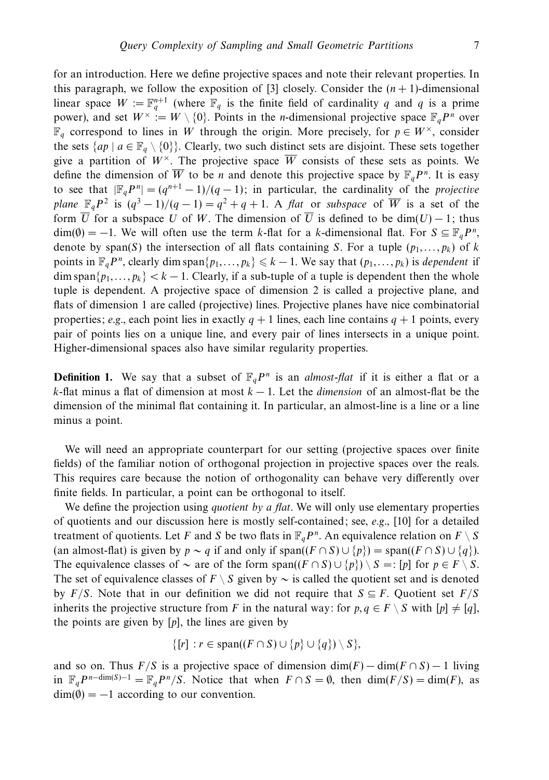for an introduction. Here we define projective spaces and note their relevant properties. In this paragraph, we follow the exposition of [3] closely. Consider the  $(n + 1)$ -dimensional linear space  $W := \mathbb{F}_q^{n+1}$  (where  $\mathbb{F}_q$  is the finite field of cardinality *q* and *q* is a prime power), and set  $W^{\times} := W \setminus \{0\}$ . Points in the *n*-dimensional projective space  $\mathbb{F}_q P^n$  over  $\mathbb{F}_q$  correspond to lines in *W* through the origin. More precisely, for  $p \in W^\times$ , consider the sets  $\{ap \mid a \in \mathbb{F}_q \setminus \{0\}\}\)$ . Clearly, two such distinct sets are disjoint. These sets together give a partition of  $W^{\times}$ . The projective space  $\overline{W}$  consists of these sets as points. We define the dimension of  $\overline{W}$  to be *n* and denote this projective space by  $\mathbb{F}_qP^n$ . It is easy to see that  $|\mathbb{F}_qP^n| = (q^{n+1} - 1)/(q - 1)$ ; in particular, the cardinality of the projective plane  $\mathbb{F}_qP^2$  is  $(q^3-1)/(q-1) = q^2+q+1$ . A flat or subspace of  $\overline{W}$  is a set of the form  $\overline{U}$  for a subspace *U* of *W*. The dimension of  $\overline{U}$  is defined to be dim(*U*) – 1; thus  $dim(\emptyset) = -1$ . We will often use the term *k*-flat for a *k*-dimensional flat. For  $S \subseteq \mathbb{F}_q P^n$ , denote by span(*S*) the intersection of all flats containing *S*. For a tuple  $(p_1, \ldots, p_k)$  of *k* points in  $\mathbb{F}_qP^n$ , clearly dim span $\{p_1,\ldots,p_k\} \leq k-1$ . We say that  $(p_1,\ldots,p_k)$  is dependent if  $\dim \text{span}\{p_1,\ldots,p_k\} < k-1$ . Clearly, if a sub-tuple of a tuple is dependent then the whole tuple is dependent. A projective space of dimension 2 is called a projective plane, and flats of dimension 1 are called (projective) lines. Projective planes have nice combinatorial properties; e.g., each point lies in exactly  $q + 1$  lines, each line contains  $q + 1$  points, every pair of points lies on a unique line, and every pair of lines intersects in a unique point. Higher-dimensional spaces also have similar regularity properties.

**Definition 1.** We say that a subset of  $\mathbb{F}_qP^n$  is an *almost-flat* if it is either a flat or a *k*-flat minus a flat of dimension at most *k* − 1. Let the dimension of an almost-flat be the dimension of the minimal flat containing it. In particular, an almost-line is a line or a line minus a point.

We will need an appropriate counterpart for our setting (projective spaces over finite fields) of the familiar notion of orthogonal projection in projective spaces over the reals. This requires care because the notion of orthogonality can behave very differently over finite fields. In particular, a point can be orthogonal to itself.

We define the projection using quotient by  $a$  flat. We will only use elementary properties of quotients and our discussion here is mostly self-contained; see, e.g., [10] for a detailed treatment of quotients. Let *F* and *S* be two flats in  $\mathbb{F}_qP^n$ . An equivalence relation on  $F \setminus S$ (an almost-flat) is given by  $p \sim q$  if and only if  $\text{span}((F \cap S) \cup \{p\}) = \text{span}((F \cap S) \cup \{q\})$ . The equivalence classes of  $\sim$  are of the form  $\text{span}((F \cap S) \cup \{p\}) \setminus S =: [p]$  for  $p \in F \setminus S$ . The set of equivalence classes of *F* \ *S* given by ∼ is called the quotient set and is denoted by  $F/S$ . Note that in our definition we did not require that  $S \subseteq F$ . Quotient set  $F/S$ inherits the projective structure from *F* in the natural way: for  $p, q \in F \setminus S$  with  $[p] \neq [q]$ , the points are given by [*p*], the lines are given by

$$
\{[r]: r \in \mathrm{span}((F \cap S) \cup \{p\} \cup \{q\}) \setminus S\},\
$$

and so on. Thus  $F/S$  is a projective space of dimension dim( $F$ ) – dim( $F \cap S$ ) – 1 living in  $\mathbb{F}_qP^{n-\dim(S)-1} = \mathbb{F}_qP^n/S$ . Notice that when  $F \cap S = \emptyset$ , then dim( $F/S$ ) = dim( $F$ ), as  $dim(\emptyset) = -1$  according to our convention.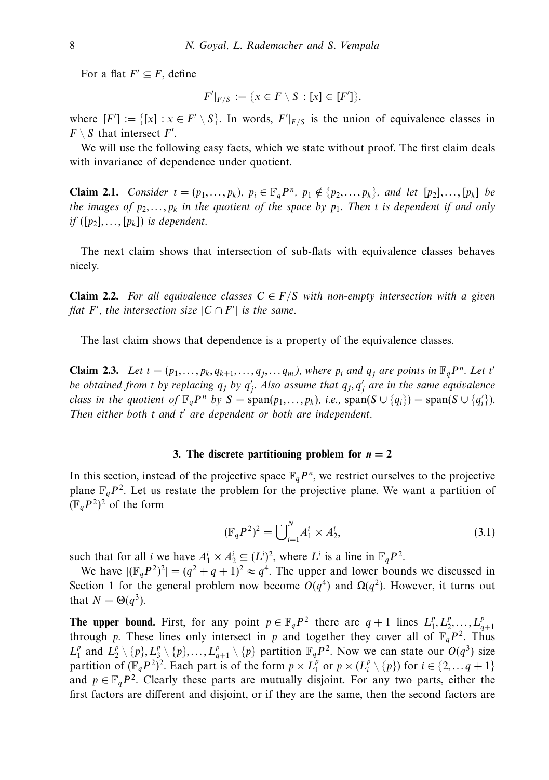For a flat  $F' \subseteq F$ , define

$$
F'|_{F/S} := \{x \in F \setminus S : [x] \in [F']\},\
$$

where  $[F'] := \{ [x] : x \in F' \setminus S \}$ . In words,  $F'|_{F/S}$  is the union of equivalence classes in  $F \setminus S$  that intersect *F'*.

We will use the following easy facts, which we state without proof. The first claim deals with invariance of dependence under quotient.

**Claim 2.1.** Consider *t* =  $(p_1, ..., p_k)$ ,  $p_i ∈ \mathbb{F}_q P^n$ ,  $p_1 ∉ {p_2, ..., p_k}$ , and let  $[p_2], ..., [p_k]$  be the images of  $p_2, \ldots, p_k$  in the quotient of the space by  $p_1$ . Then *t* is dependent if and only if  $([p_2], \ldots, [p_k])$  is dependent.

The next claim shows that intersection of sub-flats with equivalence classes behaves nicely.

**Claim 2.2.** For all equivalence classes  $C \in F/S$  with non-empty intersection with a given *flat*  $F'$ , the intersection size  $|C \cap F'|$  is the same.

The last claim shows that dependence is a property of the equivalence classes.

**Claim 2.3.** Let  $t = (p_1, \ldots, p_k, q_{k+1}, \ldots, q_j, \ldots, q_m)$ , where  $p_i$  and  $q_j$  are points in  $\mathbb{F}_q P^n$ . Let t' be obtained from *t* by replacing *qj* by *q <sup>j</sup>*. Also assume that *qj, q <sup>j</sup>* are in the same equivalence class in the quotient of  $\mathbb{F}_qP^n$  by  $S = \text{span}(p_1, \ldots, p_k)$ , i.e.,  $\text{span}(S \cup \{q_i\}) = \text{span}(S \cup \{q'_i\})$ . Then either both *t* and *t'* are dependent or both are independent.

# **3.** The discrete partitioning problem for  $n = 2$

In this section, instead of the projective space  $\mathbb{F}_{q}P^{n}$ , we restrict ourselves to the projective plane  $\mathbb{F}_qP^2$ . Let us restate the problem for the projective plane. We want a partition of  $(\mathbb{F}_qP^2)^2$  of the form

$$
(\mathbb{F}_q P^2)^2 = \bigcup_{i=1}^N A_1^i \times A_2^i,\tag{3.1}
$$

such that for all *i* we have  $A_1^i \times A_2^i \subseteq (L^i)^2$ , where  $L^i$  is a line in  $\mathbb{F}_q P^2$ .

We have  $|(\mathbb{F}_q P^2)^2| = (q^2 + q + 1)^2 \approx q^4$ . The upper and lower bounds we discussed in Section 1 for the general problem now become  $O(q<sup>4</sup>)$  and  $Ω(q<sup>2</sup>)$ . However, it turns out that  $N = \Theta(q^3)$ .

**The upper bound.** First, for any point  $p \in \mathbb{F}_q P^2$  there are  $q + 1$  lines  $L_1^p, L_2^p, \ldots, L_{q+1}^p$ through *p*. These lines only intersect in *p* and together they cover all of  $\mathbb{F}_qP^2$ . Thus  $L_1^p$  and  $L_2^p \setminus \{p\}, L_3^p \setminus \{p\}, \ldots, L_{q+1}^p \setminus \{p\}$  partition  $\mathbb{F}_q P^2$ . Now we can state our  $O(q^3)$  size partition of  $(\mathbb{F}_q P^2)^2$ . Each part is of the form  $p \times L_1^p$  or  $p \times (L_i^p \setminus \{p\})$  for  $i \in \{2, ..., q + 1\}$ and  $p \in \mathbb{F}_q P^2$ . Clearly these parts are mutually disjoint. For any two parts, either the first factors are different and disjoint, or if they are the same, then the second factors are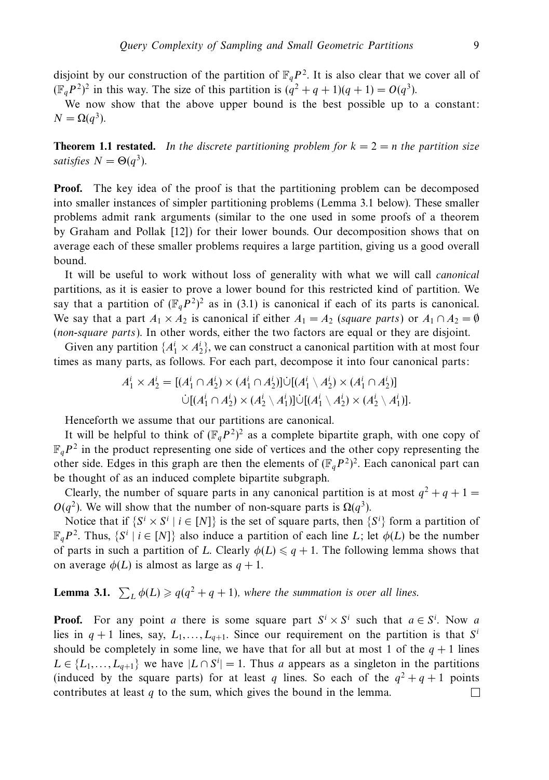disjoint by our construction of the partition of  $\mathbb{F}_{q}P^{2}$ . It is also clear that we cover all of  $(\mathbb{F}_q P^2)^2$  in this way. The size of this partition is  $(q^2 + q + 1)(q + 1) = O(q^3)$ .

We now show that the above upper bound is the best possible up to a constant:  $N = \Omega(q^3)$ .

**Theorem 1.1 restated.** In the discrete partitioning problem for  $k = 2 = n$  the partition size satisfies  $N = \Theta(q^3)$ .

**Proof.** The key idea of the proof is that the partitioning problem can be decomposed into smaller instances of simpler partitioning problems (Lemma 3.1 below). These smaller problems admit rank arguments (similar to the one used in some proofs of a theorem by Graham and Pollak [12]) for their lower bounds. Our decomposition shows that on average each of these smaller problems requires a large partition, giving us a good overall bound.

It will be useful to work without loss of generality with what we will call canonical partitions, as it is easier to prove a lower bound for this restricted kind of partition. We say that a partition of  $(\mathbb{F}_qP^2)^2$  as in (3.1) is canonical if each of its parts is canonical. We say that a part  $A_1 \times A_2$  is canonical if either  $A_1 = A_2$  (square parts) or  $A_1 \cap A_2 = \emptyset$ (non-square parts). In other words, either the two factors are equal or they are disjoint.

Given any partition  $\{A_1^i \times A_2^i\}$ , we can construct a canonical partition with at most four times as many parts, as follows. For each part, decompose it into four canonical parts:

$$
A_1^i \times A_2^i = \left[ (A_1^i \cap A_2^i) \times (A_1^i \cap A_2^i) \right] \dot{\cup} \left[ (A_1^i \setminus A_2^i) \times (A_1^i \cap A_2^i) \right]
$$
  

$$
\dot{\cup} \left[ (A_1^i \cap A_2^i) \times (A_2^i \setminus A_1^i) \right] \dot{\cup} \left[ (A_1^i \setminus A_2^i) \times (A_2^i \setminus A_1^i) \right].
$$

Henceforth we assume that our partitions are canonical.

It will be helpful to think of  $(\mathbb{F}_qP^2)^2$  as a complete bipartite graph, with one copy of  $\mathbb{F}_{q}P^2$  in the product representing one side of vertices and the other copy representing the other side. Edges in this graph are then the elements of  $(\mathbb{F}_q P^2)^2$ . Each canonical part can be thought of as an induced complete bipartite subgraph.

Clearly, the number of square parts in any canonical partition is at most  $q^2 + q + 1=$  $O(q^2)$ . We will show that the number of non-square parts is  $\Omega(q^3)$ .

Notice that if  $\{S^i \times S^i \mid i \in [N]\}$  is the set of square parts, then  $\{S^i\}$  form a partition of  $\mathbb{F}_qP^2$ . Thus,  $\{S^i \mid i \in [N]\}$  also induce a partition of each line *L*; let  $\phi(L)$  be the number of parts in such a partition of *L*. Clearly  $\phi(L) \leq q + 1$ . The following lemma shows that on average  $\phi(L)$  is almost as large as  $q + 1$ .

**Lemma 3.1.**  $\sum_{L} \phi(L) \geqslant q(q^2 + q + 1)$ , where the summation is over all lines.

**Proof.** For any point *a* there is some square part  $S^i \times S^i$  such that  $a \in S^i$ . Now *a* lies in  $q + 1$  lines, say,  $L_1, \ldots, L_{q+1}$ . Since our requirement on the partition is that  $S^i$ should be completely in some line, we have that for all but at most 1 of the  $q + 1$  lines  $L \in \{L_1, \ldots, L_{q+1}\}$  we have  $|L \cap S^i| = 1$ . Thus *a* appears as a singleton in the partitions (induced by the square parts) for at least *q* lines. So each of the  $q^2 + q + 1$  points contributes at least *q* to the sum, which gives the bound in the lemma.П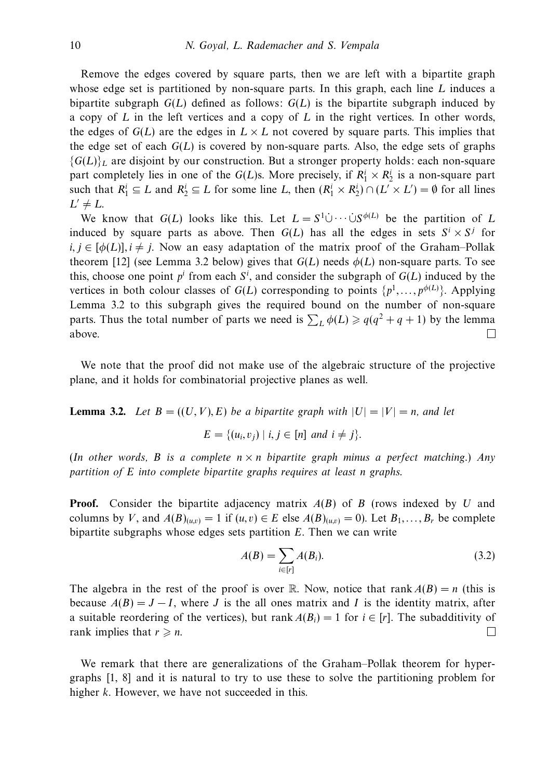Remove the edges covered by square parts, then we are left with a bipartite graph whose edge set is partitioned by non-square parts. In this graph, each line *L* induces a bipartite subgraph  $G(L)$  defined as follows:  $G(L)$  is the bipartite subgraph induced by a copy of *L* in the left vertices and a copy of *L* in the right vertices. In other words, the edges of  $G(L)$  are the edges in  $L \times L$  not covered by square parts. This implies that the edge set of each  $G(L)$  is covered by non-square parts. Also, the edge sets of graphs  ${G(L)}_L$  are disjoint by our construction. But a stronger property holds: each non-square part completely lies in one of the *G*(*L*)s. More precisely, if  $R_1^i \times R_2^i$  is a non-square part such that  $R_1^i \subseteq L$  and  $R_2^i \subseteq L$  for some line *L*, then  $(R_1^i \times R_2^i) \cap (L' \times L') = \emptyset$  for all lines  $L' \neq L$ .

We know that  $G(L)$  looks like this. Let  $L = S^1 \cup \cdots \cup S^{\phi(L)}$  be the partition of L induced by square parts as above. Then  $G(L)$  has all the edges in sets  $S^i \times S^j$  for  $i, j \in [\phi(L)], i \neq j$ . Now an easy adaptation of the matrix proof of the Graham–Pollak theorem [12] (see Lemma 3.2 below) gives that  $G(L)$  needs  $\phi(L)$  non-square parts. To see this, choose one point  $p^i$  from each  $S^i$ , and consider the subgraph of  $G(L)$  induced by the vertices in both colour classes of  $G(L)$  corresponding to points  $\{p^1, \ldots, p^{\phi(L)}\}$ . Applying Lemma 3.2 to this subgraph gives the required bound on the number of non-square parts. Thus the total number of parts we need is  $\sum_{L} \phi(L) \geqslant q(q^2 + q + 1)$  by the lemma above.

We note that the proof did not make use of the algebraic structure of the projective plane, and it holds for combinatorial projective planes as well.

**Lemma 3.2.** Let  $B = ((U, V), E)$  be a bipartite graph with  $|U| = |V| = n$ , and let

$$
E = \{(u_i, v_j) \mid i, j \in [n] \text{ and } i \neq j\}.
$$

(In other words,  $B$  is a complete  $n \times n$  bipartite graph minus a perfect matching.) Any partition of *E* into complete bipartite graphs requires at least *n* graphs.

**Proof.** Consider the bipartite adjacency matrix *A*(*B*) of *B* (rows indexed by *U* and columns by *V*, and  $A(B)_{(u,v)} = 1$  if  $(u, v) \in E$  else  $A(B)_{(u,v)} = 0$ ). Let  $B_1, \ldots, B_r$  be complete bipartite subgraphs whose edges sets partition *E*. Then we can write

$$
A(B) = \sum_{i \in [r]} A(B_i).
$$
 (3.2)

The algebra in the rest of the proof is over R. Now, notice that rank  $A(B) = n$  (this is because  $A(B) = J - I$ , where *J* is the all ones matrix and *I* is the identity matrix, after a suitable reordering of the vertices), but rank  $A(B_i) = 1$  for  $i \in [r]$ . The subadditivity of rank implies that  $r \geq n$ .  $\Box$ 

We remark that there are generalizations of the Graham–Pollak theorem for hypergraphs [1, 8] and it is natural to try to use these to solve the partitioning problem for higher *k*. However, we have not succeeded in this.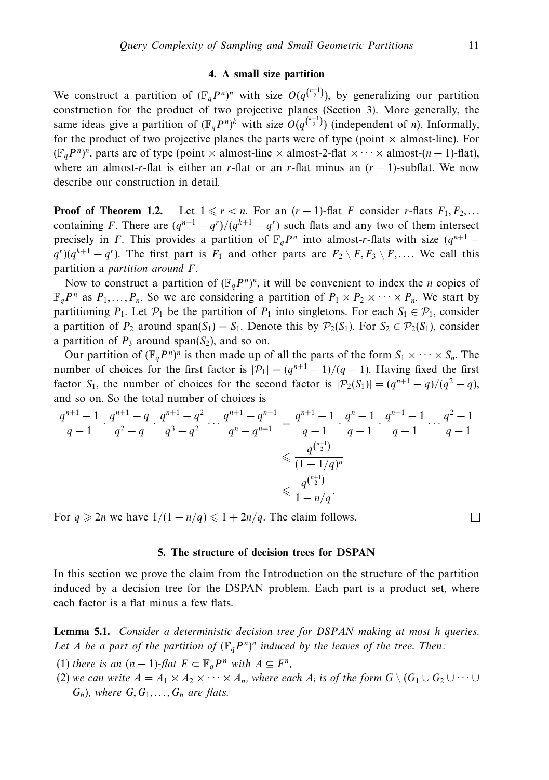# **4. A small size partition**

We construct a partition of  $(\mathbb{F}_q P^n)^n$  with size  $O(q^{\binom{n+1}{2}})$ , by generalizing our partition construction for the product of two projective planes (Section 3). More generally, the same ideas give a partition of  $(\mathbb{F}_q P^n)^k$  with size  $O(q^{\binom{k+1}{2}})$  (independent of *n*). Informally, for the product of two projective planes the parts were of type (point  $\times$  almost-line). For (F*qP<sup>n</sup>*) *<sup>n</sup>*, parts are of type (point × almost-line × almost-2-flat ×···× almost-(*n* − 1)-flat), where an almost-*r*-flat is either an *r*-flat or an *r*-flat minus an (*r* − 1)-subflat. We now describe our construction in detail.

**Proof of Theorem 1.2.** *F* Let  $1 \le r < n$ . For an  $(r − 1)$ -flat *F* consider *r*-flats  $F_1, F_2, \ldots$ containing *F*. There are  $(q^{n+1} - q^r)/(q^{k+1} - q^r)$  such flats and any two of them intersect precisely in *F*. This provides a partition of  $\mathbb{F}_qP^n$  into almost-*r*-flats with size  $(q^{n+1}$  $q^r$ )( $q^{k+1} - q^r$ ). The first part is  $F_1$  and other parts are  $F_2 \setminus F, F_3 \setminus F, \ldots$ . We call this partition a partition around *F*.

Now to construct a partition of  $(\mathbb{F}_qP^n)^n$ , it will be convenient to index the *n* copies of  $\mathbb{F}_qP^n$  as  $P_1,\ldots,P_n$ . So we are considering a partition of  $P_1 \times P_2 \times \cdots \times P_n$ . We start by partitioning  $P_1$ . Let  $P_1$  be the partition of  $P_1$  into singletons. For each  $S_1 \in \mathcal{P}_1$ , consider a partition of  $P_2$  around span( $S_1$ ) =  $S_1$ . Denote this by  $\mathcal{P}_2(S_1)$ . For  $S_2 \in \mathcal{P}_2(S_1)$ , consider a partition of  $P_3$  around span( $S_2$ ), and so on.

Our partition of  $(\mathbb{F}_qP^n)^n$  is then made up of all the parts of the form  $S_1 \times \cdots \times S_n$ . The number of choices for the first factor is  $|\mathcal{P}_1| = (q^{n+1} - 1)/(q - 1)$ . Having fixed the first factor *S*<sub>1</sub>, the number of choices for the second factor is  $|\mathcal{P}_2(S_1)| = (q^{n+1} - q)/(q^2 - q)$ , and so on. So the total number of choices is

$$
\frac{q^{n+1}-1}{q-1} \cdot \frac{q^{n+1}-q}{q^2-q} \cdot \frac{q^{n+1}-q^2}{q^3-q^2} \cdots \frac{q^{n+1}-q^{n-1}}{q^n-q^{n-1}} = \frac{q^{n+1}-1}{q-1} \cdot \frac{q^n-1}{q-1} \cdot \frac{q^{n-1}-1}{q-1} \cdots \frac{q^2-1}{q-1}
$$

$$
\leq \frac{q^{\binom{n+1}{2}}}{(1-1/q)^n}
$$

$$
\leq \frac{q^{\binom{n+1}{2}}}{1-n/q}.
$$

For  $q \ge 2n$  we have  $1/(1 - n/q) \le 1 + 2n/q$ . The claim follows.

#### **5. The structure of decision trees for DSPAN**

In this section we prove the claim from the Introduction on the structure of the partition induced by a decision tree for the DSPAN problem. Each part is a product set, where each factor is a flat minus a few flats.

**Lemma 5.1.** Consider a deterministic decision tree for DSPAN making at most *h* queries. Let *A* be a part of the partition of  $(\mathbb{F}_qP^n)^n$  induced by the leaves of the tree. Then:

(1) there is an  $(n-1)$ -flat  $F \subset \mathbb{F}_q P^n$  with  $A \subseteq F^n$ ,

(2) we can write  $A = A_1 \times A_2 \times \cdots \times A_n$ , where each  $A_i$  is of the form  $G \setminus (G_1 \cup G_2 \cup \cdots \cup G_n)$  $G_h$ ), where  $G, G_1, \ldots, G_h$  are flats.

 $\Box$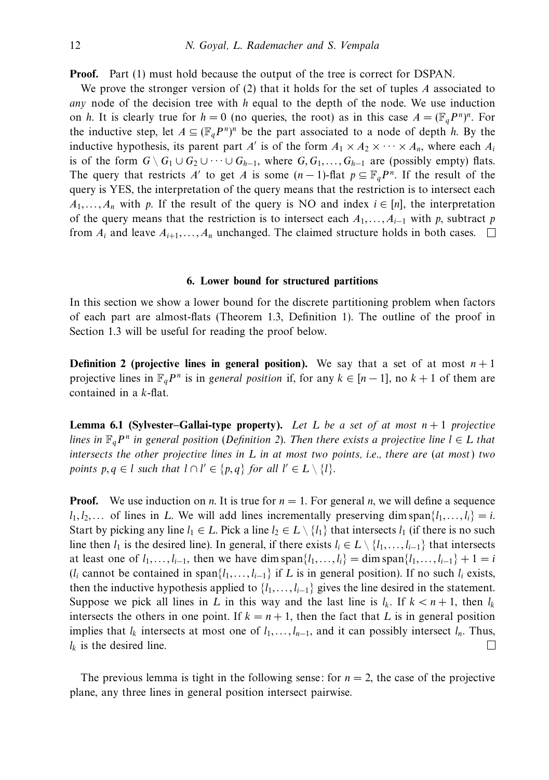**Proof.** Part (1) must hold because the output of the tree is correct for DSPAN.

We prove the stronger version of (2) that it holds for the set of tuples *A* associated to any node of the decision tree with *h* equal to the depth of the node. We use induction on *h*. It is clearly true for  $h = 0$  (no queries, the root) as in this case  $A = (\mathbb{F}_q P^n)^n$ . For the inductive step, let  $A \subseteq (\mathbb{F}_q P^n)^n$  be the part associated to a node of depth *h*. By the inductive hypothesis, its parent part *A'* is of the form  $A_1 \times A_2 \times \cdots \times A_n$ , where each  $A_i$ is of the form  $G \setminus G_1 \cup G_2 \cup \cdots \cup G_{h-1}$ , where  $G, G_1, \ldots, G_{h-1}$  are (possibly empty) flats. The query that restricts *A'* to get *A* is some  $(n-1)$ -flat  $p \n\t\subseteq \mathbb{F}_q P^n$ . If the result of the query is YES, the interpretation of the query means that the restriction is to intersect each  $A_1, \ldots, A_n$  with *p*. If the result of the query is NO and index  $i \in [n]$ , the interpretation of the query means that the restriction is to intersect each  $A_1, \ldots, A_{i-1}$  with *p*, subtract *p* from  $A_i$  and leave  $A_{i+1},...,A_n$  unchanged. The claimed structure holds in both cases.  $\square$ 

#### **6. Lower bound for structured partitions**

In this section we show a lower bound for the discrete partitioning problem when factors of each part are almost-flats (Theorem 1.3, Definition 1). The outline of the proof in Section 1.3 will be useful for reading the proof below.

**Definition 2 (projective lines in general position).** We say that a set of at most  $n+1$ projective lines in  $\mathbb{F}_qP^n$  is in general position if, for any  $k \in [n-1]$ , no  $k+1$  of them are contained in a *k*-flat.

**Lemma 6.1 (Sylvester–Gallai-type property).** Let  $L$  be a set of at most  $n + 1$  projective lines in  $\mathbb{F}_{q}P^{n}$  in general position (Definition 2). Then there exists a projective line  $l \in L$  that intersects the other projective lines in *L* in at most two points, i.e., there are (at most) two points  $p, q \in l$  such that  $l \cap l' \in \{p, q\}$  for all  $l' \in L \setminus \{l\}.$ 

**Proof.** We use induction on *n*. It is true for  $n = 1$ . For general *n*, we will define a sequence  $l_1, l_2, \ldots$  of lines in *L*. We will add lines incrementally preserving dim span $\{l_1, \ldots, l_i\} = i$ . Start by picking any line  $l_1 \in L$ . Pick a line  $l_2 \in L \setminus \{l_1\}$  that intersects  $l_1$  (if there is no such line then  $l_1$  is the desired line). In general, if there exists  $l_i \in L \setminus \{l_1, \ldots, l_{i-1}\}\$  that intersects at least one of  $l_1, \ldots, l_{i-1}$ , then we have dim span $\{l_1, \ldots, l_i\} = \dim \text{span}\{l_1, \ldots, l_{i-1}\} + 1 = i$  $(l_i \text{ cannot be contained in span} \{l_1, \ldots, l_{i-1}\}$  if *L* is in general position). If no such  $l_i$  exists, then the inductive hypothesis applied to  $\{l_1, \ldots, l_{i-1}\}$  gives the line desired in the statement. Suppose we pick all lines in L in this way and the last line is  $l_k$ . If  $k < n+1$ , then  $l_k$ intersects the others in one point. If  $k = n + 1$ , then the fact that *L* is in general position implies that  $l_k$  intersects at most one of  $l_1, \ldots, l_{n-1}$ , and it can possibly intersect  $l_n$ . Thus,  $l_k$  is the desired line.  $\Box$ 

The previous lemma is tight in the following sense: for  $n = 2$ , the case of the projective plane, any three lines in general position intersect pairwise.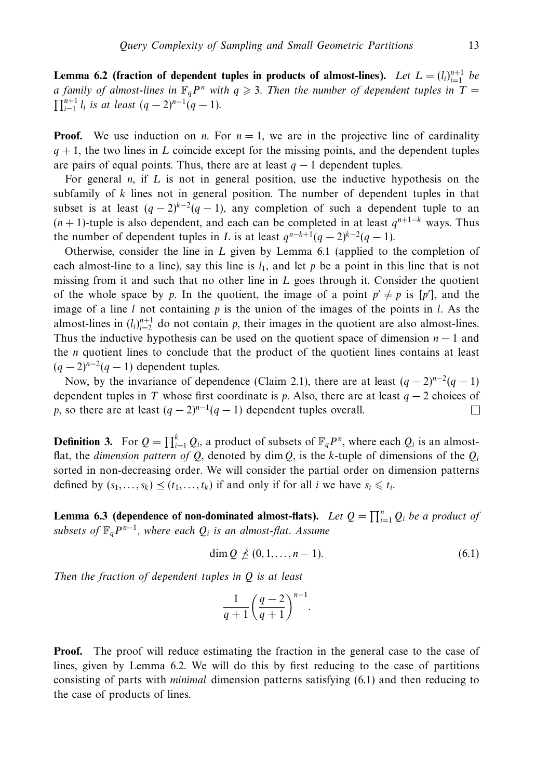**Lemma 6.2 (fraction of dependent tuples in products of almost-lines).** Let  $L = (l_i)_{i=1}^{n+1}$  be a family of almost-lines in  $\mathbb{F}_qP^n$  with  $q \geq 3$ . Then the number of dependent tuples in  $T =$  $\prod_{i=1}^{n+1} l_i$  is at least  $(q-2)^{n-1}(q-1)$ .

**Proof.** We use induction on *n*. For  $n = 1$ , we are in the projective line of cardinality  $q + 1$ , the two lines in *L* coincide except for the missing points, and the dependent tuples are pairs of equal points. Thus, there are at least  $q - 1$  dependent tuples.

For general *n*, if *L* is not in general position, use the inductive hypothesis on the subfamily of *k* lines not in general position. The number of dependent tuples in that subset is at least  $(q-2)^{k-2}(q-1)$ , any completion of such a dependent tuple to an  $(n + 1)$ -tuple is also dependent, and each can be completed in at least  $q^{n+1-k}$  ways. Thus the number of dependent tuples in *L* is at least  $q^{n-k+1}(q-2)^{k-2}(q-1)$ .

Otherwise, consider the line in *L* given by Lemma 6.1 (applied to the completion of each almost-line to a line), say this line is  $l_1$ , and let  $p$  be a point in this line that is not missing from it and such that no other line in *L* goes through it. Consider the quotient of the whole space by *p*. In the quotient, the image of a point  $p' \neq p$  is [*p*'], and the image of a line *l* not containing *p* is the union of the images of the points in *l*. As the almost-lines in  $(l_i)_{i=2}^{n+1}$  do not contain *p*, their images in the quotient are also almost-lines. Thus the inductive hypothesis can be used on the quotient space of dimension  $n - 1$  and the *n* quotient lines to conclude that the product of the quotient lines contains at least  $(q-2)^{n-2}(q-1)$  dependent tuples.

Now, by the invariance of dependence (Claim 2.1), there are at least  $(q-2)^{n-2}(q-1)$ dependent tuples in *T* whose first coordinate is *p*. Also, there are at least *q* − 2 choices of *p*, so there are at least  $(q - 2)^{n-1}(q - 1)$  dependent tuples overall.  $\Box$ 

**Definition 3.** For  $Q = \prod_{i=1}^{k} Q_i$ , a product of subsets of  $\mathbb{F}_q P^n$ , where each  $Q_i$  is an almostflat, the dimension pattern of  $Q$ , denoted by dim  $Q$ , is the *k*-tuple of dimensions of the  $Q_i$ sorted in non-decreasing order. We will consider the partial order on dimension patterns defined by  $(s_1, \ldots, s_k) \leq (t_1, \ldots, t_k)$  if and only if for all *i* we have  $s_i \leq t_i$ .

**Lemma 6.3 (dependence of non-dominated almost-flats).** Let  $Q = \prod_{i=1}^{n} Q_i$  be a product of subsets of  $\mathbb{F}_qP^{n-1}$ , where each  $Q_i$  is an almost-flat. Assume

$$
\dim Q \npreceq (0, 1, \dots, n-1). \tag{6.1}
$$

Then the fraction of dependent tuples in *Q* is at least

$$
\frac{1}{q+1}\bigg(\frac{q-2}{q+1}\bigg)^{n-1}.
$$

**Proof.** The proof will reduce estimating the fraction in the general case to the case of lines, given by Lemma 6.2. We will do this by first reducing to the case of partitions consisting of parts with minimal dimension patterns satisfying (6.1) and then reducing to the case of products of lines.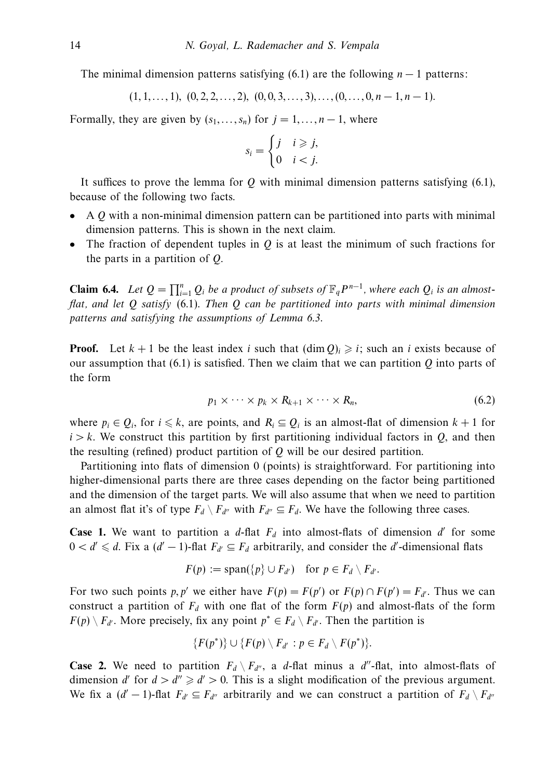The minimal dimension patterns satisfying (6.1) are the following  $n - 1$  patterns:

$$
(1, 1, \ldots, 1), (0, 2, 2, \ldots, 2), (0, 0, 3, \ldots, 3), \ldots, (0, \ldots, 0, n-1, n-1).
$$

Formally, they are given by  $(s_1, \ldots, s_n)$  for  $j = 1, \ldots, n-1$ , where

$$
s_i = \begin{cases} j & i \geq j, \\ 0 & i < j. \end{cases}
$$

It suffices to prove the lemma for *Q* with minimal dimension patterns satisfying (6.1), because of the following two facts.

- A *Q* with a non-minimal dimension pattern can be partitioned into parts with minimal dimension patterns. This is shown in the next claim.
- The fraction of dependent tuples in *Q* is at least the minimum of such fractions for the parts in a partition of *Q*.

**Claim 6.4.** Let  $Q = \prod_{i=1}^{n} Q_i$  be a product of subsets of  $\mathbb{F}_q P^{n-1}$ , where each  $Q_i$  is an almostflat, and let *Q* satisfy (6.1). Then *Q* can be partitioned into parts with minimal dimension patterns and satisfying the assumptions of Lemma 6.3.

**Proof.** Let  $k + 1$  be the least index *i* such that  $(\dim Q)_i \geq i$ ; such an *i* exists because of our assumption that (6.1) is satisfied. Then we claim that we can partition *Q* into parts of the form

$$
p_1 \times \cdots \times p_k \times R_{k+1} \times \cdots \times R_n, \tag{6.2}
$$

where  $p_i \in Q_i$ , for  $i \leq k$ , are points, and  $R_i \subseteq Q_i$  is an almost-flat of dimension  $k+1$  for  $i > k$ . We construct this partition by first partitioning individual factors in *Q*, and then the resulting (refined) product partition of *Q* will be our desired partition.

Partitioning into flats of dimension 0 (points) is straightforward. For partitioning into higher-dimensional parts there are three cases depending on the factor being partitioned and the dimension of the target parts. We will also assume that when we need to partition an almost flat it's of type  $F_d \setminus F_{d''}$  with  $F_{d''} \subseteq F_d$ . We have the following three cases.

**Case 1.** We want to partition a  $d$ -flat  $F_d$  into almost-flats of dimension  $d'$  for some  $0 < d' \le d$ . Fix a  $(d' - 1)$ -flat  $F_{d'} \subseteq F_d$  arbitrarily, and consider the *d*'-dimensional flats

$$
F(p) := \mathrm{span}(\{p\} \cup F_{d'}) \quad \text{for } p \in F_d \setminus F_{d'}.
$$

For two such points p, p' we either have  $F(p) = F(p')$  or  $F(p) \cap F(p') = F_{d'}$ . Thus we can construct a partition of  $F_d$  with one flat of the form  $F(p)$  and almost-flats of the form  $F(p) \setminus F_{d'}$ . More precisely, fix any point  $p^* \in F_d \setminus F_{d'}$ . Then the partition is

$$
\{F(p^*)\}\cup\{F(p)\setminus F_{d'}:p\in F_d\setminus F(p^*)\}.
$$

**Case 2.** We need to partition  $F_d \setminus F_{d'}$ , a *d*-flat minus a *d'*-flat, into almost-flats of dimension *d'* for  $d > d'' \ge d' > 0$ . This is a slight modification of the previous argument. We fix a  $(d' - 1)$ -flat  $F_{d'} \subseteq F_{d''}$  arbitrarily and we can construct a partition of  $F_d \setminus F_{d''}$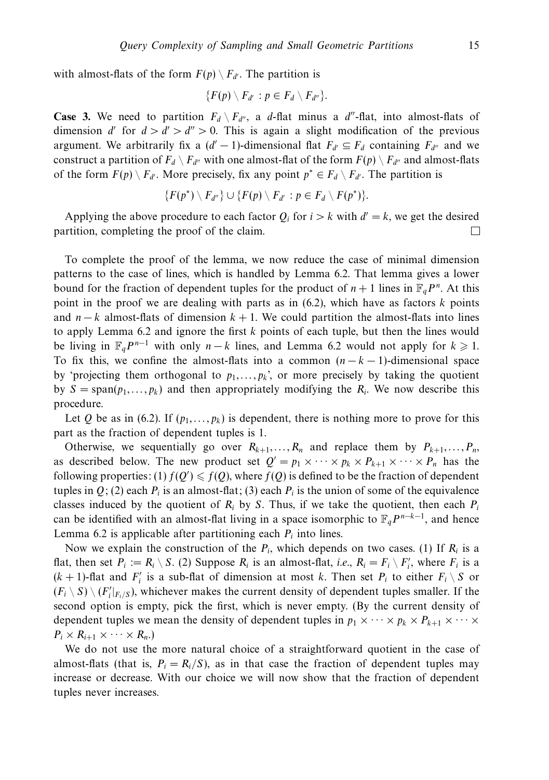with almost-flats of the form  $F(p) \setminus F_{d'}$ . The partition is

$$
\{F(p)\setminus F_{d'}\,:\,p\in F_d\setminus F_{d''}\}.
$$

**Case 3.** We need to partition  $F_d \setminus F_{d''}$ , a *d*-flat minus a *d'*-flat, into almost-flats of dimension *d'* for  $d > d' > d'' > 0$ . This is again a slight modification of the previous argument. We arbitrarily fix a  $(d' - 1)$ -dimensional flat  $F_{d'} \subseteq F_d$  containing  $F_{d''}$  and we construct a partition of  $F_d \setminus F_{d''}$  with one almost-flat of the form  $F(p) \setminus F_{d''}$  and almost-flats of the form  $F(p) \setminus F_{d'}$ . More precisely, fix any point  $p^* \in F_d \setminus F_{d'}$ . The partition is

$$
\{F(p^*)\setminus F_{d''}\}\cup\{F(p)\setminus F_{d'}:p\in F_d\setminus F(p^*)\}.
$$

Applying the above procedure to each factor  $Q_i$  for  $i > k$  with  $d' = k$ , we get the desired partition, completing the proof of the claim.  $\Box$ 

To complete the proof of the lemma, we now reduce the case of minimal dimension patterns to the case of lines, which is handled by Lemma 6.2. That lemma gives a lower bound for the fraction of dependent tuples for the product of  $n + 1$  lines in  $\mathbb{F}_qP^n$ . At this point in the proof we are dealing with parts as in (6.2), which have as factors *k* points and  $n - k$  almost-flats of dimension  $k + 1$ . We could partition the almost-flats into lines to apply Lemma 6.2 and ignore the first *k* points of each tuple, but then the lines would be living in  $\mathbb{F}_q P^{n-1}$  with only *n*−*k* lines, and Lemma 6.2 would not apply for  $k \ge 1$ . To fix this, we confine the almost-flats into a common  $(n - k - 1)$ -dimensional space by 'projecting them orthogonal to  $p_1, \ldots, p_k$ ', or more precisely by taking the quotient by  $S = \text{span}(p_1, \ldots, p_k)$  and then appropriately modifying the  $R_i$ . We now describe this procedure.

Let *Q* be as in (6.2). If  $(p_1, \ldots, p_k)$  is dependent, there is nothing more to prove for this part as the fraction of dependent tuples is 1.

Otherwise, we sequentially go over  $R_{k+1},...,R_n$  and replace them by  $P_{k+1},...,P_n$ , as described below. The new product set  $Q' = p_1 \times \cdots \times p_k \times P_{k+1} \times \cdots \times P_n$  has the following properties: (1)  $f(Q') \leqslant f(Q)$ , where  $f(Q)$  is defined to be the fraction of dependent tuples in  $Q$ ; (2) each  $P_i$  is an almost-flat; (3) each  $P_i$  is the union of some of the equivalence classes induced by the quotient of  $R_i$  by *S*. Thus, if we take the quotient, then each  $P_i$ can be identified with an almost-flat living in a space isomorphic to  $\mathbb{F}_{q}P^{n-k-1}$ , and hence Lemma 6.2 is applicable after partitioning each  $P_i$  into lines.

Now we explain the construction of the  $P_i$ , which depends on two cases. (1) If  $R_i$  is a flat, then set  $P_i := R_i \setminus S$ . (2) Suppose  $R_i$  is an almost-flat, *i.e.*,  $R_i = F_i \setminus F'_i$ , where  $F_i$  is a  $(k + 1)$ -flat and  $F'_i$  is a sub-flat of dimension at most k. Then set  $P_i$  to either  $F_i \setminus S$  or  $(F_i \setminus S) \setminus (F'_i|_{F_i/S})$ , whichever makes the current density of dependent tuples smaller. If the second option is empty, pick the first, which is never empty. (By the current density of dependent tuples we mean the density of dependent tuples in  $p_1 \times \cdots \times p_k \times P_{k+1} \times \cdots \times$  $P_i \times R_{i+1} \times \cdots \times R_n$ .

We do not use the more natural choice of a straightforward quotient in the case of almost-flats (that is,  $P_i = R_i/S$ ), as in that case the fraction of dependent tuples may increase or decrease. With our choice we will now show that the fraction of dependent tuples never increases.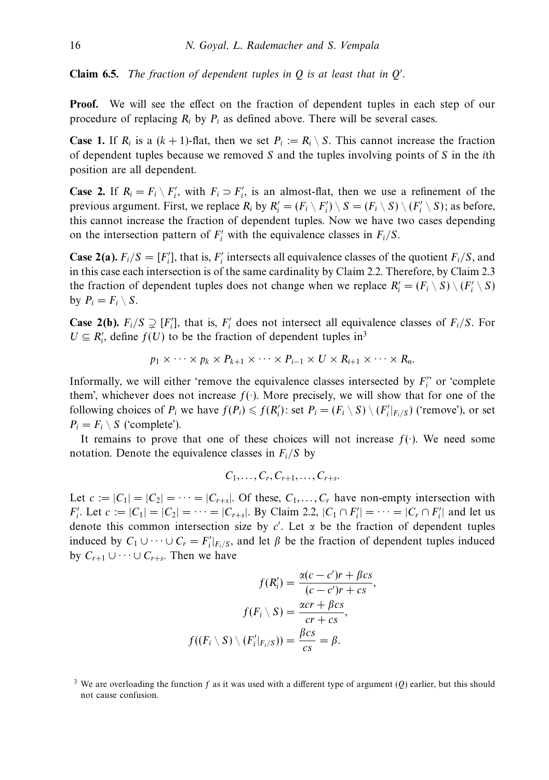**Claim 6.5.** The fraction of dependent tuples in *Q* is at least that in *Q* .

**Proof.** We will see the effect on the fraction of dependent tuples in each step of our procedure of replacing  $R_i$  by  $P_i$  as defined above. There will be several cases.

**Case 1.** If  $R_i$  is a  $(k + 1)$ -flat, then we set  $P_i := R_i \setminus S$ . This cannot increase the fraction of dependent tuples because we removed *S* and the tuples involving points of *S* in the *i*th position are all dependent.

**Case 2.** If  $R_i = F_i \setminus F'_i$ , with  $F_i \supset F'_i$ , is an almost-flat, then we use a refinement of the previous argument. First, we replace  $R_i$  by  $R'_i = (F_i \setminus F'_i) \setminus S = (F_i \setminus S) \setminus (F'_i \setminus S)$ ; as before, this cannot increase the fraction of dependent tuples. Now we have two cases depending on the intersection pattern of  $F_i'$  with the equivalence classes in  $F_i/S$ .

**Case 2(a).**  $F_i/S = [F'_i]$ , that is,  $F'_i$  intersects all equivalence classes of the quotient  $F_i/S$ , and in this case each intersection is of the same cardinality by Claim 2.2. Therefore, by Claim 2.3 the fraction of dependent tuples does not change when we replace  $R'_i = (F_i \setminus S) \setminus (F'_i \setminus S)$ by  $P_i = F_i \setminus S$ .

**Case 2(b).**  $F_i/S \supsetneq [F'_i]$ , that is,  $F'_i$  does not intersect all equivalence classes of  $F_i/S$ . For  $U \subseteq R'_i$ , define  $f(U)$  to be the fraction of dependent tuples in<sup>3</sup>

$$
p_1 \times \cdots \times p_k \times P_{k+1} \times \cdots \times P_{i-1} \times U \times R_{i+1} \times \cdots \times R_n.
$$

Informally, we will either 'remove the equivalence classes intersected by  $F_i'$  or 'complete them', whichever does not increase  $f(\cdot)$ . More precisely, we will show that for one of the following choices of  $P_i$  we have  $f(P_i) \leq f(R'_i)$ : set  $P_i = (F_i \setminus S) \setminus (F'_i|_{F_i/S})$  ('remove'), or set  $P_i = F_i \setminus S$  ('complete').

It remains to prove that one of these choices will not increase  $f(\cdot)$ . We need some notation. Denote the equivalence classes in  $F_i/S$  by

 $C_1, \ldots, C_r, C_{r+1}, \ldots, C_{r+s}$ .

Let  $c := |C_1| = |C_2| = \cdots = |C_{r+s}|$ . Of these,  $C_1, \ldots, C_r$  have non-empty intersection with *F*<sup>'</sup><sub>*i*</sub>. Let *c* :=  $|C_1|$  =  $|C_2|$  = ··· =  $|C_{r+s}|$ . By Claim 2.2,  $|C_1 \cap F'_i|$  = ··· =  $|C_r \cap F'_i|$  and let us denote this common intersection size by *c* . Let *α* be the fraction of dependent tuples induced by  $C_1 \cup \cdots \cup C_r = F'_i|_{F_i/S}$ , and let  $\beta$  be the fraction of dependent tuples induced by  $C_{r+1}$ ∪ $\cdots$ ∪ $C_{r+s}$ . Then we have

$$
f(R'_i) = \frac{\alpha(c - c')r + \beta cs}{(c - c')r + cs},
$$

$$
f(F_i \setminus S) = \frac{\alpha cr + \beta cs}{cr + cs},
$$

$$
f((F_i \setminus S) \setminus (F'_i|_{F_i/S})) = \frac{\beta cs}{cs} = \beta.
$$

<sup>3</sup> We are overloading the function *f* as it was used with a different type of argument (*Q*) earlier, but this should not cause confusion.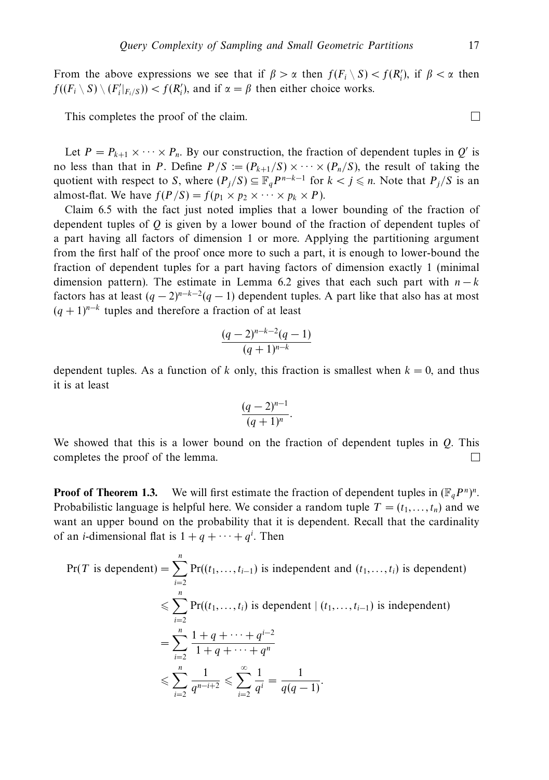From the above expressions we see that if  $\beta > \alpha$  then  $f(F_i \setminus S) < f(R'_i)$ , if  $\beta < \alpha$  then  $f((F_i \setminus S) \setminus (F'_i|_{F_i/S})) < f(R'_i)$ , and if  $\alpha = \beta$  then either choice works.

This completes the proof of the claim.

Let  $P = P_{k+1} \times \cdots \times P_n$ . By our construction, the fraction of dependent tuples in *Q'* is no less than that in *P*. Define  $P/S := (P_{k+1}/S) \times \cdots \times (P_n/S)$ , the result of taking the quotient with respect to *S*, where  $(P_j/S) \subseteq \mathbb{F}_q P^{n-k-1}$  for  $k < j \leq n$ . Note that  $P_j/S$  is an almost-flat. We have  $f(P/S) = f(p_1 \times p_2 \times \cdots \times p_k \times P)$ .

Claim 6.5 with the fact just noted implies that a lower bounding of the fraction of dependent tuples of *Q* is given by a lower bound of the fraction of dependent tuples of a part having all factors of dimension 1 or more. Applying the partitioning argument from the first half of the proof once more to such a part, it is enough to lower-bound the fraction of dependent tuples for a part having factors of dimension exactly 1 (minimal dimension pattern). The estimate in Lemma 6.2 gives that each such part with  $n - k$ factors has at least  $(q-2)^{n-k-2}(q-1)$  dependent tuples. A part like that also has at most  $(q + 1)^{n-k}$  tuples and therefore a fraction of at least

$$
\frac{(q-2)^{n-k-2}(q-1)}{(q+1)^{n-k}}
$$

dependent tuples. As a function of *k* only, this fraction is smallest when  $k = 0$ , and thus it is at least

$$
\frac{(q-2)^{n-1}}{(q+1)^n}.
$$

We showed that this is a lower bound on the fraction of dependent tuples in *Q*. This completes the proof of the lemma.  $\Box$ 

**Proof of Theorem 1.3.** We will first estimate the fraction of dependent tuples in  $(\mathbb{F}_qP^n)^n$ . Probabilistic language is helpful here. We consider a random tuple  $T = (t_1, \ldots, t_n)$  and we want an upper bound on the probability that it is dependent. Recall that the cardinality of an *i*-dimensional flat is  $1 + q + \cdots + q^i$ . Then

$$
\Pr(T \text{ is dependent}) = \sum_{i=2}^{n} \Pr((t_1, \dots, t_{i-1}) \text{ is independent and } (t_1, \dots, t_i) \text{ is dependent})
$$
\n
$$
\leqslant \sum_{i=2}^{n} \Pr((t_1, \dots, t_i) \text{ is dependent} \mid (t_1, \dots, t_{i-1}) \text{ is independent})
$$
\n
$$
= \sum_{i=2}^{n} \frac{1 + q + \dots + q^{i-2}}{1 + q + \dots + q^n}
$$
\n
$$
\leqslant \sum_{i=2}^{n} \frac{1}{q^{n-i+2}} \leqslant \sum_{i=2}^{\infty} \frac{1}{q^{i}} = \frac{1}{q(q-1)}.
$$

 $\Box$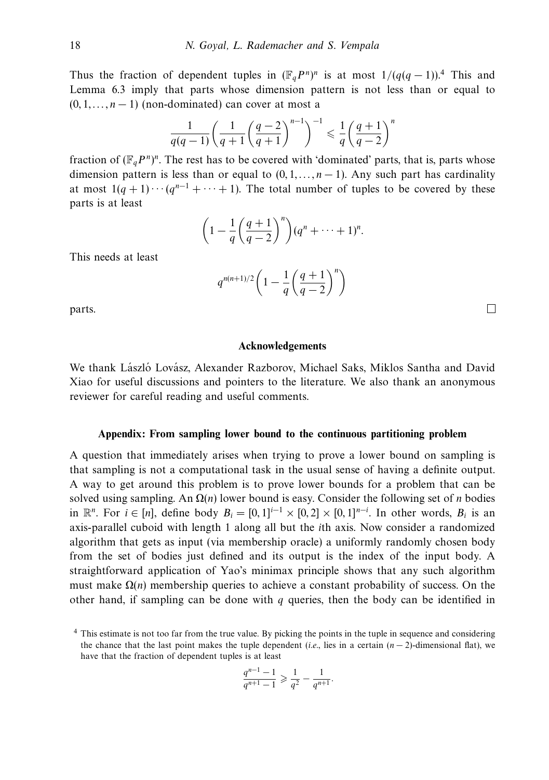Thus the fraction of dependent tuples in  $(\mathbb{F}_q P^n)^n$  is at most  $1/(q(q-1))$ .<sup>4</sup> This and Lemma 6.3 imply that parts whose dimension pattern is not less than or equal to  $(0, 1, \ldots, n-1)$  (non-dominated) can cover at most a

$$
\frac{1}{q(q-1)} \left( \frac{1}{q+1} \left( \frac{q-2}{q+1} \right)^{n-1} \right)^{-1} \leq \frac{1}{q} \left( \frac{q+1}{q-2} \right)^n
$$

fraction of  $(\mathbb{F}_qP^n)^n$ . The rest has to be covered with 'dominated' parts, that is, parts whose dimension pattern is less than or equal to  $(0, 1, \ldots, n-1)$ . Any such part has cardinality at most  $1(q + 1) \cdots (q^{n-1} + \cdots + 1)$ . The total number of tuples to be covered by these parts is at least

$$
\left(1-\frac{1}{q}\left(\frac{q+1}{q-2}\right)^n\right)(q^n+\cdots+1)^n.
$$

This needs at least

$$
q^{n(n+1)/2}\left(1-\frac{1}{q}\left(\frac{q+1}{q-2}\right)^n\right)
$$

parts.

# **Acknowledgements**

We thank László Lovász, Alexander Razborov, Michael Saks, Miklos Santha and David Xiao for useful discussions and pointers to the literature. We also thank an anonymous reviewer for careful reading and useful comments.

#### **Appendix: From sampling lower bound to the continuous partitioning problem**

A question that immediately arises when trying to prove a lower bound on sampling is that sampling is not a computational task in the usual sense of having a definite output. A way to get around this problem is to prove lower bounds for a problem that can be solved using sampling. An Ω(*n*) lower bound is easy. Consider the following set of *n* bodies in  $\mathbb{R}^n$ . For  $i \in [n]$ , define body  $B_i = [0, 1]^{i-1} \times [0, 2] \times [0, 1]^{n-i}$ . In other words,  $B_i$  is an axis-parallel cuboid with length 1 along all but the *i*th axis. Now consider a randomized algorithm that gets as input (via membership oracle) a uniformly randomly chosen body from the set of bodies just defined and its output is the index of the input body. A straightforward application of Yao's minimax principle shows that any such algorithm must make  $\Omega(n)$  membership queries to achieve a constant probability of success. On the other hand, if sampling can be done with *q* queries, then the body can be identified in

$$
\frac{q^{n-1}-1}{q^{n+1}-1}\geqslant \frac{1}{q^2}-\frac{1}{q^{n+1}}.
$$

 $\Box$ 

<sup>4</sup> This estimate is not too far from the true value. By picking the points in the tuple in sequence and considering the chance that the last point makes the tuple dependent (*i.e.*, lies in a certain  $(n-2)$ -dimensional flat), we have that the fraction of dependent tuples is at least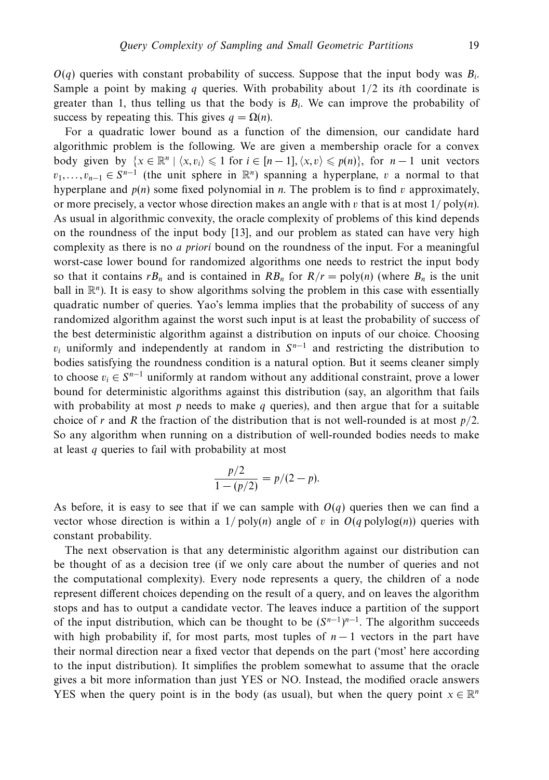$O(q)$  queries with constant probability of success. Suppose that the input body was  $B_i$ . Sample a point by making *q* queries. With probability about 1*/*2 its *i*th coordinate is greater than 1, thus telling us that the body is  $B_i$ . We can improve the probability of success by repeating this. This gives  $q = \Omega(n)$ .

For a quadratic lower bound as a function of the dimension, our candidate hard algorithmic problem is the following. We are given a membership oracle for a convex body given by  $\{x \in \mathbb{R}^n \mid \langle x, v_i \rangle \leq 1 \text{ for } i \in [n-1], \langle x, v \rangle \leq p(n)\},\$  for  $n-1$  unit vectors  $v_1, \ldots, v_{n-1} \in S^{n-1}$  (the unit sphere in  $\mathbb{R}^n$ ) spanning a hyperplane, *v* a normal to that hyperplane and  $p(n)$  some fixed polynomial in *n*. The problem is to find *v* approximately, or more precisely, a vector whose direction makes an angle with *v* that is at most 1*/* poly(*n*). As usual in algorithmic convexity, the oracle complexity of problems of this kind depends on the roundness of the input body [13], and our problem as stated can have very high complexity as there is no *a priori* bound on the roundness of the input. For a meaningful worst-case lower bound for randomized algorithms one needs to restrict the input body so that it contains  $rB_n$  and is contained in  $RB_n$  for  $R/r = \text{poly}(n)$  (where  $B_n$  is the unit ball in  $\mathbb{R}^n$ ). It is easy to show algorithms solving the problem in this case with essentially quadratic number of queries. Yao's lemma implies that the probability of success of any randomized algorithm against the worst such input is at least the probability of success of the best deterministic algorithm against a distribution on inputs of our choice. Choosing *v<sub>i</sub>* uniformly and independently at random in  $S^{n-1}$  and restricting the distribution to bodies satisfying the roundness condition is a natural option. But it seems cleaner simply to choose  $v_i \in S^{n-1}$  uniformly at random without any additional constraint, prove a lower bound for deterministic algorithms against this distribution (say, an algorithm that fails with probability at most *p* needs to make *q* queries), and then argue that for a suitable choice of *r* and *R* the fraction of the distribution that is not well-rounded is at most  $p/2$ . So any algorithm when running on a distribution of well-rounded bodies needs to make at least *q* queries to fail with probability at most

$$
\frac{p/2}{1-(p/2)} = p/(2-p).
$$

As before, it is easy to see that if we can sample with  $O(q)$  queries then we can find a vector whose direction is within a  $1/poly(n)$  angle of *v* in  $O(q \text{ polylog}(n))$  queries with constant probability.

The next observation is that any deterministic algorithm against our distribution can be thought of as a decision tree (if we only care about the number of queries and not the computational complexity). Every node represents a query, the children of a node represent different choices depending on the result of a query, and on leaves the algorithm stops and has to output a candidate vector. The leaves induce a partition of the support of the input distribution, which can be thought to be (*S<sup>n</sup>*−1) *<sup>n</sup>*−1. The algorithm succeeds with high probability if, for most parts, most tuples of  $n-1$  vectors in the part have their normal direction near a fixed vector that depends on the part ('most' here according to the input distribution). It simplifies the problem somewhat to assume that the oracle gives a bit more information than just YES or NO. Instead, the modified oracle answers YES when the query point is in the body (as usual), but when the query point  $x \in \mathbb{R}^n$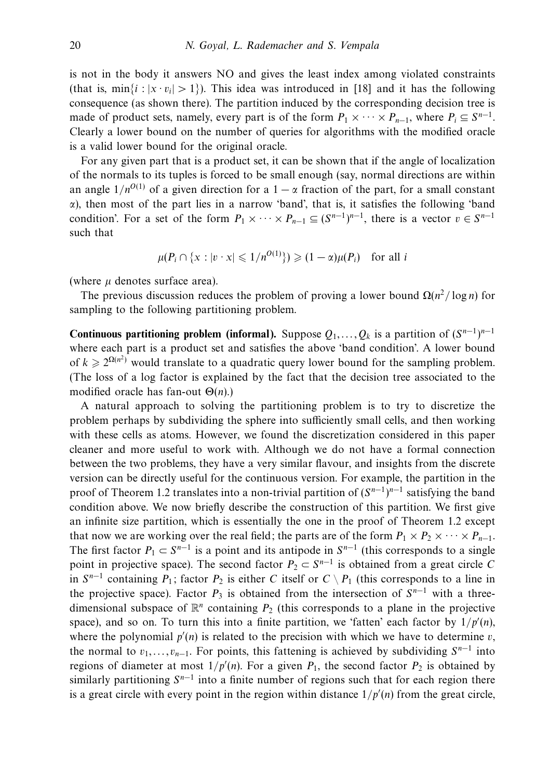is not in the body it answers NO and gives the least index among violated constraints (that is,  $\min\{i : |x \cdot v_i| > 1\}$ ). This idea was introduced in [18] and it has the following consequence (as shown there). The partition induced by the corresponding decision tree is made of product sets, namely, every part is of the form  $P_1 \times \cdots \times P_{n-1}$ , where  $P_i \subseteq S^{n-1}$ . Clearly a lower bound on the number of queries for algorithms with the modified oracle is a valid lower bound for the original oracle.

For any given part that is a product set, it can be shown that if the angle of localization of the normals to its tuples is forced to be small enough (say, normal directions are within an angle  $1/n^{O(1)}$  of a given direction for a  $1 - \alpha$  fraction of the part, for a small constant *α*), then most of the part lies in a narrow 'band', that is, it satisfies the following 'band condition'. For a set of the form  $P_1 \times \cdots \times P_{n-1} \subseteq (S^{n-1})^{n-1}$ , there is a vector  $v \in S^{n-1}$ such that

$$
\mu(P_i \cap \{x : |v \cdot x| \leq 1/n^{O(1)}\}) \geq (1-\alpha)\mu(P_i) \quad \text{for all } i
$$

(where *μ* denotes surface area).

The previous discussion reduces the problem of proving a lower bound  $\Omega(n^2/\log n)$  for sampling to the following partitioning problem.

**Continuous partitioning problem (informal).** Suppose  $Q_1, \ldots, Q_k$  is a partition of  $(S^{n-1})^{n-1}$ where each part is a product set and satisfies the above 'band condition'. A lower bound of  $k \ge 2^{\Omega(n^2)}$  would translate to a quadratic query lower bound for the sampling problem. (The loss of a log factor is explained by the fact that the decision tree associated to the modified oracle has fan-out Θ(*n*).)

A natural approach to solving the partitioning problem is to try to discretize the problem perhaps by subdividing the sphere into sufficiently small cells, and then working with these cells as atoms. However, we found the discretization considered in this paper cleaner and more useful to work with. Although we do not have a formal connection between the two problems, they have a very similar flavour, and insights from the discrete version can be directly useful for the continuous version. For example, the partition in the proof of Theorem 1.2 translates into a non-trivial partition of (*S<sup>n</sup>*−1) *<sup>n</sup>*−<sup>1</sup> satisfying the band condition above. We now briefly describe the construction of this partition. We first give an infinite size partition, which is essentially the one in the proof of Theorem 1.2 except that now we are working over the real field; the parts are of the form  $P_1 \times P_2 \times \cdots \times P_{n-1}$ . The first factor  $P_1 \subset S^{n-1}$  is a point and its antipode in  $S^{n-1}$  (this corresponds to a single point in projective space). The second factor  $P_2 \subset S^{n-1}$  is obtained from a great circle *C* in  $S^{n-1}$  containing  $P_1$ ; factor  $P_2$  is either *C* itself or  $C \setminus P_1$  (this corresponds to a line in the projective space). Factor  $P_3$  is obtained from the intersection of  $S^{n-1}$  with a threedimensional subspace of  $\mathbb{R}^n$  containing  $P_2$  (this corresponds to a plane in the projective space), and so on. To turn this into a finite partition, we 'fatten' each factor by  $1/p'(n)$ , where the polynomial  $p'(n)$  is related to the precision with which we have to determine  $v$ , the normal to  $v_1, \ldots, v_{n-1}$ . For points, this fattening is achieved by subdividing  $S^{n-1}$  into regions of diameter at most  $1/p'(n)$ . For a given  $P_1$ , the second factor  $P_2$  is obtained by similarly partitioning  $S^{n-1}$  into a finite number of regions such that for each region there is a great circle with every point in the region within distance 1*/p* (*n*) from the great circle,